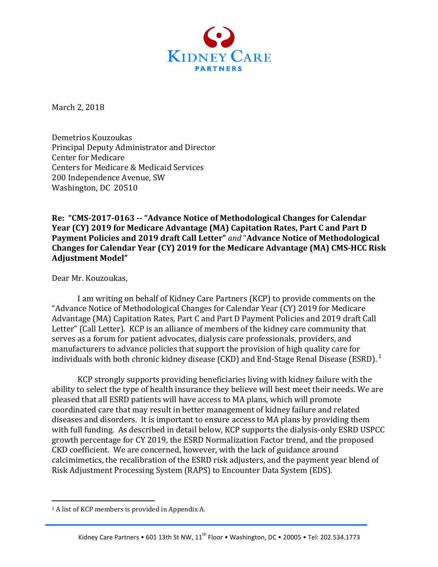

March 2, 2018

Demetrios Kouzoukas Principal Deputy Administrator and Director Center for Medicare Centers for Medicare & Medicaid Services 200 Independence Avenue, SW Washington, DC 20510

**Re: "CMS-2017-0163 -- "Advance Notice of Methodological Changes for Calendar Year (CY) 2019 for Medicare Advantage (MA) Capitation Rates, Part C and Part D** Payment Policies and 2019 draft Call Letter" and "Advance Notice of Methodological Changes for Calendar Year (CY) 2019 for the Medicare Advantage (MA) CMS-HCC Risk **Adjustment Model"**

Dear Mr. Kouzoukas,

I am writing on behalf of Kidney Care Partners (KCP) to provide comments on the "Advance Notice of Methodological Changes for Calendar Year (CY) 2019 for Medicare Advantage (MA) Capitation Rates, Part C and Part D Payment Policies and 2019 draft Call Letter" (Call Letter). KCP is an alliance of members of the kidney care community that serves as a forum for patient advocates, dialysis care professionals, providers, and manufacturers to advance policies that support the provision of high quality care for individuals with both chronic kidney disease (CKD) and End-Stage Renal Disease (ESRD).  $1$ 

KCP strongly supports providing beneficiaries living with kidney failure with the ability to select the type of health insurance they believe will best meet their needs. We are pleased that all ESRD patients will have access to MA plans, which will promote coordinated care that may result in better management of kidney failure and related diseases and disorders. It is important to ensure access to MA plans by providing them with full funding. As described in detail below, KCP supports the dialysis-only ESRD USPCC growth percentage for CY 2019, the ESRD Normalization Factor trend, and the proposed CKD coefficient. We are concerned, however, with the lack of guidance around calcimimetics, the recalibration of the ESRD risk adjusters, and the payment year blend of Risk Adjustment Processing System (RAPS) to Encounter Data System (EDS).

 $1$  A list of KCP members is provided in Appendix A.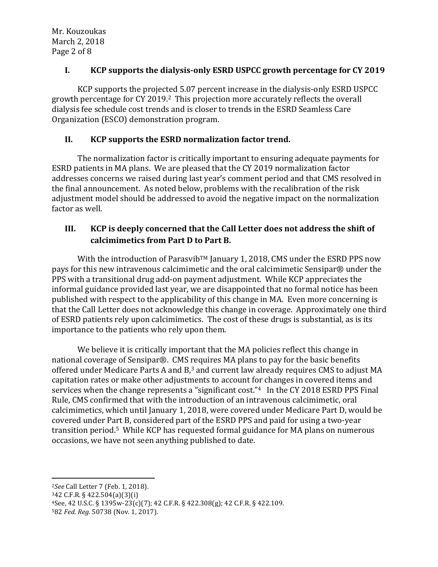### I. **KCP** supports the dialysis-only ESRD USPCC growth percentage for CY 2019

KCP supports the projected 5.07 percent increase in the dialysis-only ESRD USPCC growth percentage for CY 2019.<sup>2</sup> This projection more accurately reflects the overall dialysis fee schedule cost trends and is closer to trends in the ESRD Seamless Care Organization (ESCO) demonstration program.

### **II. KCP** supports the ESRD normalization factor trend.

The normalization factor is critically important to ensuring adequate payments for ESRD patients in MA plans. We are pleased that the CY 2019 normalization factor addresses concerns we raised during last year's comment period and that CMS resolved in the final announcement. As noted below, problems with the recalibration of the risk adjustment model should be addressed to avoid the negative impact on the normalization factor as well.

## **III. KCP** is deeply concerned that the Call Letter does not address the shift of calcimimetics from Part D to Part B.

With the introduction of Parasvib<sup>TM</sup> January 1, 2018, CMS under the ESRD PPS now pays for this new intravenous calcimimetic and the oral calcimimetic Sensipar® under the PPS with a transitional drug add-on payment adjustment. While KCP appreciates the informal guidance provided last year, we are disappointed that no formal notice has been published with respect to the applicability of this change in MA. Even more concerning is that the Call Letter does not acknowledge this change in coverage. Approximately one third of ESRD patients rely upon calcimimetics. The cost of these drugs is substantial, as is its importance to the patients who rely upon them.

We believe it is critically important that the MA policies reflect this change in national coverage of Sensipar®. CMS requires MA plans to pay for the basic benefits offered under Medicare Parts A and  $B$ ,<sup>3</sup> and current law already requires CMS to adjust MA capitation rates or make other adjustments to account for changes in covered items and services when the change represents a "significant cost." $4$  In the CY 2018 ESRD PPS Final Rule, CMS confirmed that with the introduction of an intravenous calcimimetic, oral calcimimetics, which until January 1, 2018, were covered under Medicare Part D, would be covered under Part B, considered part of the ESRD PPS and paid for using a two-year transition period.<sup>5</sup> While KCP has requested formal guidance for MA plans on numerous occasions, we have not seen anything published to date.

<sup>2</sup>See Call Letter 7 (Feb. 1, 2018).

 

 $342$  C.F.R. § 422.504(a)(3)(i)

582 Fed. Reg. 50738 (Nov. 1, 2017).

 $4$ See, 42 U.S.C. § 1395w-23(c)(7); 42 C.F.R. § 422.308(g); 42 C.F.R. § 422.109.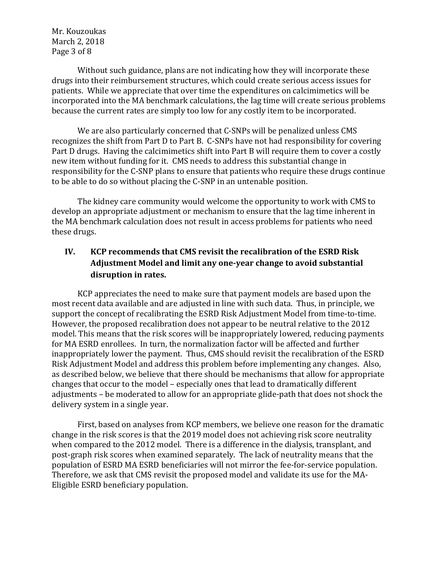Mr. Kouzoukas March 2, 2018 Page 3 of 8

Without such guidance, plans are not indicating how they will incorporate these drugs into their reimbursement structures, which could create serious access issues for patients. While we appreciate that over time the expenditures on calcimimetics will be incorporated into the MA benchmark calculations, the lag time will create serious problems because the current rates are simply too low for any costly item to be incorporated.

We are also particularly concerned that C-SNPs will be penalized unless CMS recognizes the shift from Part D to Part B. C-SNPs have not had responsibility for covering Part D drugs. Having the calcimimetics shift into Part B will require them to cover a costly new item without funding for it. CMS needs to address this substantial change in responsibility for the C-SNP plans to ensure that patients who require these drugs continue to be able to do so without placing the C-SNP in an untenable position.

The kidney care community would welcome the opportunity to work with CMS to develop an appropriate adjustment or mechanism to ensure that the lag time inherent in the MA benchmark calculation does not result in access problems for patients who need these drugs.

## **IV. KCP** recommends that CMS revisit the recalibration of the ESRD Risk Adjustment Model and limit any one-year change to avoid substantial disruption in rates.

KCP appreciates the need to make sure that payment models are based upon the most recent data available and are adjusted in line with such data. Thus, in principle, we support the concept of recalibrating the ESRD Risk Adjustment Model from time-to-time. However, the proposed recalibration does not appear to be neutral relative to the 2012 model. This means that the risk scores will be inappropriately lowered, reducing payments for MA ESRD enrollees. In turn, the normalization factor will be affected and further inappropriately lower the payment. Thus, CMS should revisit the recalibration of the ESRD Risk Adjustment Model and address this problem before implementing any changes. Also, as described below, we believe that there should be mechanisms that allow for appropriate changes that occur to the model – especially ones that lead to dramatically different adjustments – be moderated to allow for an appropriate glide-path that does not shock the delivery system in a single year.

First, based on analyses from KCP members, we believe one reason for the dramatic change in the risk scores is that the 2019 model does not achieving risk score neutrality when compared to the 2012 model. There is a difference in the dialysis, transplant, and post-graph risk scores when examined separately. The lack of neutrality means that the population of ESRD MA ESRD beneficiaries will not mirror the fee-for-service population. Therefore, we ask that CMS revisit the proposed model and validate its use for the MA-Eligible ESRD beneficiary population.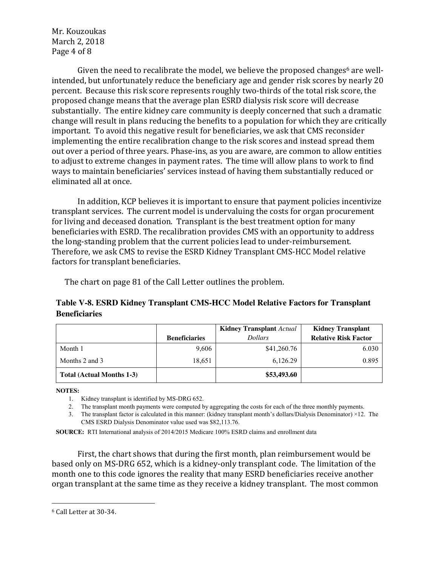Mr. Kouzoukas March 2, 2018 Page 4 of 8

Given the need to recalibrate the model, we believe the proposed changes<sup>6</sup> are wellintended, but unfortunately reduce the beneficiary age and gender risk scores by nearly 20 percent. Because this risk score represents roughly two-thirds of the total risk score, the proposed change means that the average plan ESRD dialysis risk score will decrease substantially. The entire kidney care community is deeply concerned that such a dramatic change will result in plans reducing the benefits to a population for which they are critically important. To avoid this negative result for beneficiaries, we ask that CMS reconsider implementing the entire recalibration change to the risk scores and instead spread them out over a period of three years. Phase-ins, as you are aware, are common to allow entities to adjust to extreme changes in payment rates. The time will allow plans to work to find ways to maintain beneficiaries' services instead of having them substantially reduced or eliminated all at once.

In addition, KCP believes it is important to ensure that payment policies incentivize transplant services. The current model is undervaluing the costs for organ procurement for living and deceased donation. Transplant is the best treatment option for many beneficiaries with ESRD. The recalibration provides CMS with an opportunity to address the long-standing problem that the current policies lead to under-reimbursement. Therefore, we ask CMS to revise the ESRD Kidney Transplant CMS-HCC Model relative factors for transplant beneficiaries.

The chart on page 81 of the Call Letter outlines the problem.

### **Table V-8. ESRD Kidney Transplant CMS-HCC Model Relative Factors for Transplant Beneficiaries**

|                           |                      | <b>Kidney Transplant Actual</b> | <b>Kidney Transplant</b>    |
|---------------------------|----------------------|---------------------------------|-----------------------------|
|                           | <b>Beneficiaries</b> | <b>Dollars</b>                  | <b>Relative Risk Factor</b> |
| Month 1                   | 9,606                | \$41,260.76                     | 6.030                       |
| Months 2 and 3            | 18,651               | 6,126.29                        | 0.895                       |
| Total (Actual Months 1-3) |                      | \$53,493.60                     |                             |

**NOTES:**

1. Kidney transplant is identified by MS-DRG 652.

2. The transplant month payments were computed by aggregating the costs for each of the three monthly payments.

3. The transplant factor is calculated in this manner: (kidney transplant month's dollars/Dialysis Denominator) ×12. The CMS ESRD Dialysis Denominator value used was \$82,113.76.

**SOURCE:** RTI International analysis of 2014/2015 Medicare 100% ESRD claims and enrollment data

First, the chart shows that during the first month, plan reimbursement would be based only on MS-DRG 652, which is a kidney-only transplant code. The limitation of the month one to this code ignores the reality that many ESRD beneficiaries receive another organ transplant at the same time as they receive a kidney transplant. The most common

<sup>&</sup>lt;sup>6</sup> Call Letter at 30-34.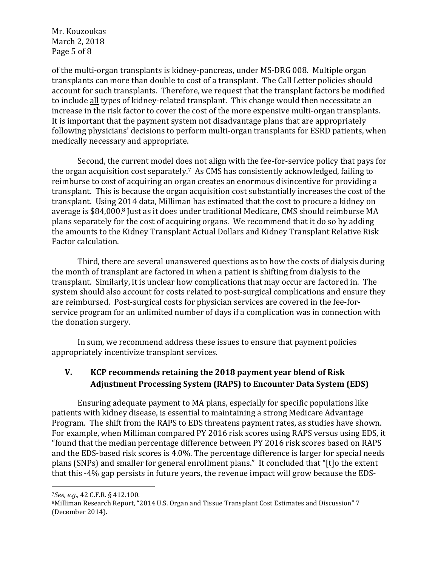Mr. Kouzoukas March 2, 2018 Page 5 of 8

of the multi-organ transplants is kidney-pancreas, under MS-DRG 008. Multiple organ transplants can more than double to cost of a transplant. The Call Letter policies should account for such transplants. Therefore, we request that the transplant factors be modified to include all types of kidney-related transplant. This change would then necessitate an increase in the risk factor to cover the cost of the more expensive multi-organ transplants. It is important that the payment system not disadvantage plans that are appropriately following physicians' decisions to perform multi-organ transplants for ESRD patients, when medically necessary and appropriate.

Second, the current model does not align with the fee-for-service policy that pays for the organ acquisition cost separately.<sup>7</sup> As CMS has consistently acknowledged, failing to reimburse to cost of acquiring an organ creates an enormous disincentive for providing a transplant. This is because the organ acquisition cost substantially increases the cost of the transplant. Using 2014 data, Milliman has estimated that the cost to procure a kidney on average is \$84,000.<sup>8</sup> Just as it does under traditional Medicare, CMS should reimburse MA plans separately for the cost of acquiring organs. We recommend that it do so by adding the amounts to the Kidney Transplant Actual Dollars and Kidney Transplant Relative Risk Factor calculation.

Third, there are several unanswered questions as to how the costs of dialysis during the month of transplant are factored in when a patient is shifting from dialysis to the transplant. Similarly, it is unclear how complications that may occur are factored in. The system should also account for costs related to post-surgical complications and ensure they are reimbursed. Post-surgical costs for physician services are covered in the fee-forservice program for an unlimited number of days if a complication was in connection with the donation surgery.

In sum, we recommend address these issues to ensure that payment policies appropriately incentivize transplant services.

# **V. KCP** recommends retaining the 2018 payment year blend of Risk Adjustment Processing System (RAPS) to Encounter Data System (EDS)

Ensuring adequate payment to MA plans, especially for specific populations like patients with kidney disease, is essential to maintaining a strong Medicare Advantage Program. The shift from the RAPS to EDS threatens payment rates, as studies have shown. For example, when Milliman compared PY 2016 risk scores using RAPS versus using EDS, it "found that the median percentage difference between PY 2016 risk scores based on RAPS and the EDS-based risk scores is 4.0%. The percentage difference is larger for special needs plans (SNPs) and smaller for general enrollment plans." It concluded that "[t]o the extent that this -4% gap persists in future years, the revenue impact will grow because the EDS-

<sup>7</sup>*See, e.g.,* 42 C.F.R. § 412.100.

<sup>&</sup>lt;sup>8</sup>Milliman Research Report, "2014 U.S. Organ and Tissue Transplant Cost Estimates and Discussion" 7 (December 2014).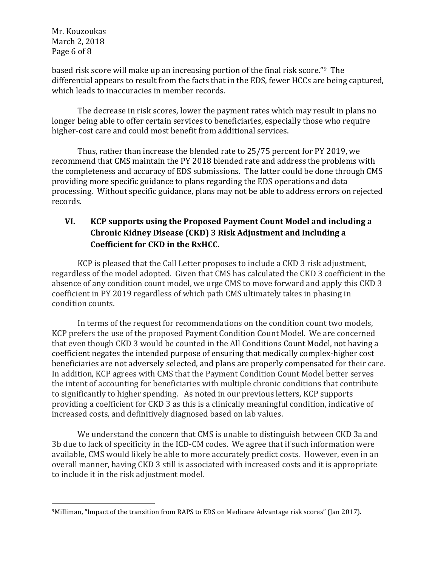Mr. Kouzoukas March 2, 2018 Page 6 of 8

based risk score will make up an increasing portion of the final risk score."<sup>9</sup> The differential appears to result from the facts that in the EDS, fewer HCCs are being captured, which leads to inaccuracies in member records.

The decrease in risk scores, lower the payment rates which may result in plans no longer being able to offer certain services to beneficiaries, especially those who require higher-cost care and could most benefit from additional services.

Thus, rather than increase the blended rate to 25/75 percent for PY 2019, we recommend that CMS maintain the PY 2018 blended rate and address the problems with the completeness and accuracy of EDS submissions. The latter could be done through CMS providing more specific guidance to plans regarding the EDS operations and data processing. Without specific guidance, plans may not be able to address errors on rejected records. 

# **VI. KCP** supports using the Proposed Payment Count Model and including a **Chronic Kidney Disease (CKD) 3 Risk Adjustment and Including a Coefficient for CKD in the RxHCC.**

KCP is pleased that the Call Letter proposes to include a CKD 3 risk adjustment, regardless of the model adopted. Given that CMS has calculated the CKD 3 coefficient in the absence of any condition count model, we urge CMS to move forward and apply this CKD 3 coefficient in PY 2019 regardless of which path CMS ultimately takes in phasing in condition counts.

In terms of the request for recommendations on the condition count two models, KCP prefers the use of the proposed Payment Condition Count Model. We are concerned that even though CKD 3 would be counted in the All Conditions Count Model, not having a coefficient negates the intended purpose of ensuring that medically complex-higher cost beneficiaries are not adversely selected, and plans are properly compensated for their care. In addition, KCP agrees with CMS that the Payment Condition Count Model better serves the intent of accounting for beneficiaries with multiple chronic conditions that contribute to significantly to higher spending. As noted in our previous letters, KCP supports providing a coefficient for CKD 3 as this is a clinically meaningful condition, indicative of increased costs, and definitively diagnosed based on lab values.

We understand the concern that CMS is unable to distinguish between CKD 3a and 3b due to lack of specificity in the ICD-CM codes. We agree that if such information were available, CMS would likely be able to more accurately predict costs. However, even in an overall manner, having CKD 3 still is associated with increased costs and it is appropriate to include it in the risk adjustment model.

<sup>9</sup>Milliman, "Impact of the transition from RAPS to EDS on Medicare Advantage risk scores" (Jan 2017).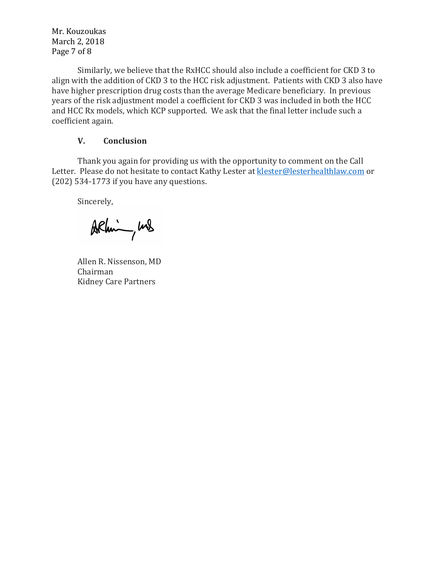Mr. Kouzoukas March 2, 2018 Page 7 of 8

Similarly, we believe that the RxHCC should also include a coefficient for CKD 3 to align with the addition of CKD 3 to the HCC risk adjustment. Patients with CKD 3 also have have higher prescription drug costs than the average Medicare beneficiary. In previous years of the risk adjustment model a coefficient for CKD 3 was included in both the HCC and HCC Rx models, which KCP supported. We ask that the final letter include such a coefficient again.

#### **V. Conclusion**

Thank you again for providing us with the opportunity to comment on the Call Letter. Please do not hesitate to contact Kathy Lester at klester@lesterhealthlaw.com or  $(202)$  534-1773 if you have any questions.

Sincerely,

Arhim, und

Allen R. Nissenson, MD Chairman Kidney Care Partners